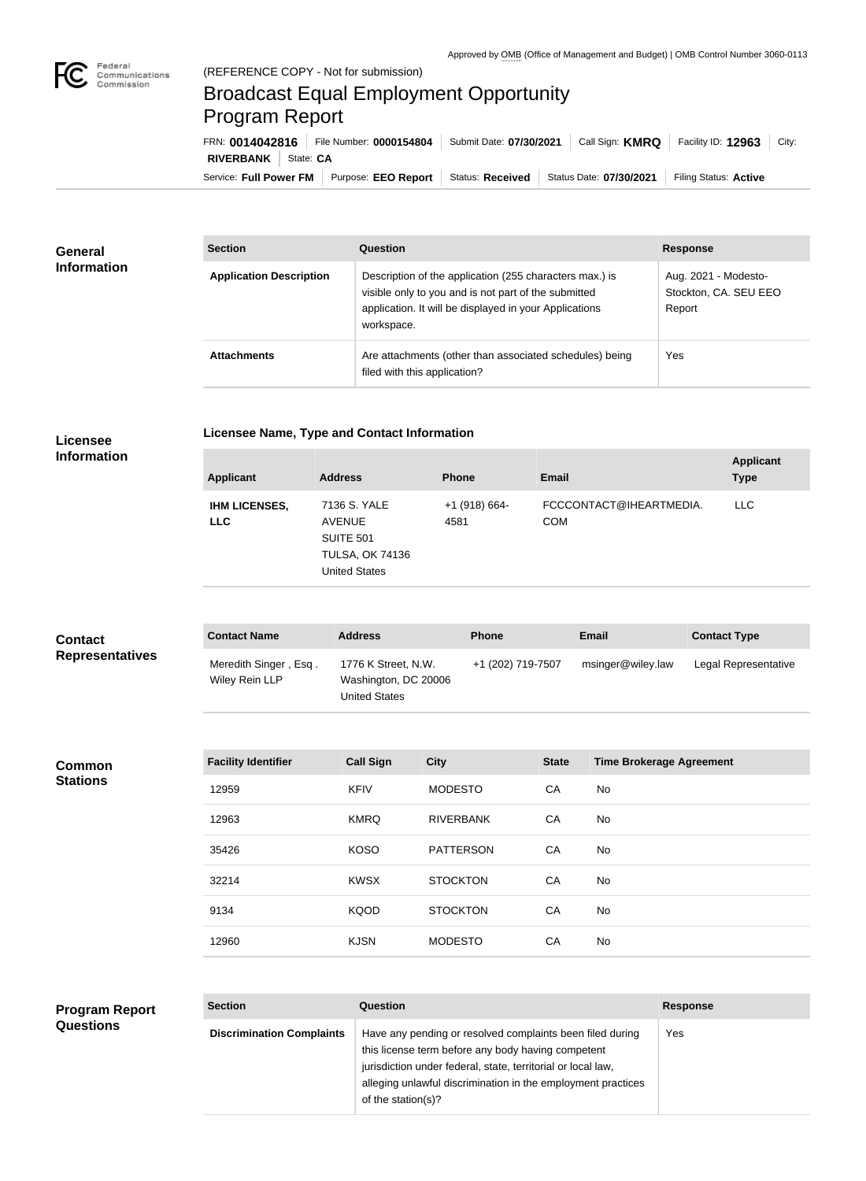

## Broadcast Equal Employment Opportunity Program Report

Service: Full Power FM Purpose: EEO Report | Status: Received | Status Date: 07/30/2021 | Filing Status: Active **RIVERBANK** | State: CA FRN: **0014042816** File Number: **0000154804** Submit Date: **07/30/2021** Call Sign: **KMRQ** Facility ID: **12963** City:

| <b>General</b><br><b>Information</b> | <b>Section</b>                 | <b>Question</b>                                                                                                                                                                         | <b>Response</b>                                         |
|--------------------------------------|--------------------------------|-----------------------------------------------------------------------------------------------------------------------------------------------------------------------------------------|---------------------------------------------------------|
|                                      | <b>Application Description</b> | Description of the application (255 characters max.) is<br>visible only to you and is not part of the submitted<br>application. It will be displayed in your Applications<br>workspace. | Aug. 2021 - Modesto-<br>Stockton, CA. SEU EEO<br>Report |
|                                      | <b>Attachments</b>             | Are attachments (other than associated schedules) being<br>filed with this application?                                                                                                 | Yes                                                     |

| Licensee Name, Type and Contact Information |  |  |  |
|---------------------------------------------|--|--|--|
|---------------------------------------------|--|--|--|

**Licensee Information**

| <b>Applicant</b>                   | <b>Address</b>                                                                        | <b>Phone</b>            | Email                                 | <b>Applicant</b><br><b>Type</b> |
|------------------------------------|---------------------------------------------------------------------------------------|-------------------------|---------------------------------------|---------------------------------|
| <b>IHM LICENSES,</b><br><b>LLC</b> | 7136 S. YALE<br>AVENUE<br>SUITE 501<br><b>TULSA, OK 74136</b><br><b>United States</b> | $+1$ (918) 664-<br>4581 | FCCCONTACT@IHEARTMEDIA.<br><b>COM</b> | <b>LLC</b>                      |

| <b>Contact</b>         | <b>Contact Name</b>                     | <b>Address</b>                                               | <b>Phone</b>      | Email             | <b>Contact Type</b>  |
|------------------------|-----------------------------------------|--------------------------------------------------------------|-------------------|-------------------|----------------------|
| <b>Representatives</b> | Meredith Singer, Esq.<br>Wiley Rein LLP | 1776 K Street, N.W.<br>Washington, DC 20006<br>United States | +1 (202) 719-7507 | msinger@wiley.law | Legal Representative |

| <b>Common</b>   |
|-----------------|
| <b>Stations</b> |

| <b>Facility Identifier</b> | <b>Call Sign</b> | <b>City</b>      | <b>State</b> | <b>Time Brokerage Agreement</b> |
|----------------------------|------------------|------------------|--------------|---------------------------------|
| 12959                      | <b>KFIV</b>      | <b>MODESTO</b>   | CA           | No                              |
| 12963                      | <b>KMRQ</b>      | <b>RIVERBANK</b> | CA           | No.                             |
| 35426                      | <b>KOSO</b>      | <b>PATTERSON</b> | CA           | No                              |
| 32214                      | <b>KWSX</b>      | <b>STOCKTON</b>  | CA           | <b>No</b>                       |
| 9134                       | <b>KQOD</b>      | <b>STOCKTON</b>  | CA           | No                              |
| 12960                      | <b>KJSN</b>      | <b>MODESTO</b>   | CA           | No                              |

| <b>Program Report</b> |
|-----------------------|
| <b>Questions</b>      |

| <b>Section</b>                   | Question                                                                                                                                                                                                                                                              | <b>Response</b> |
|----------------------------------|-----------------------------------------------------------------------------------------------------------------------------------------------------------------------------------------------------------------------------------------------------------------------|-----------------|
| <b>Discrimination Complaints</b> | Have any pending or resolved complaints been filed during<br>this license term before any body having competent<br>jurisdiction under federal, state, territorial or local law,<br>alleging unlawful discrimination in the employment practices<br>of the station(s)? | Yes             |